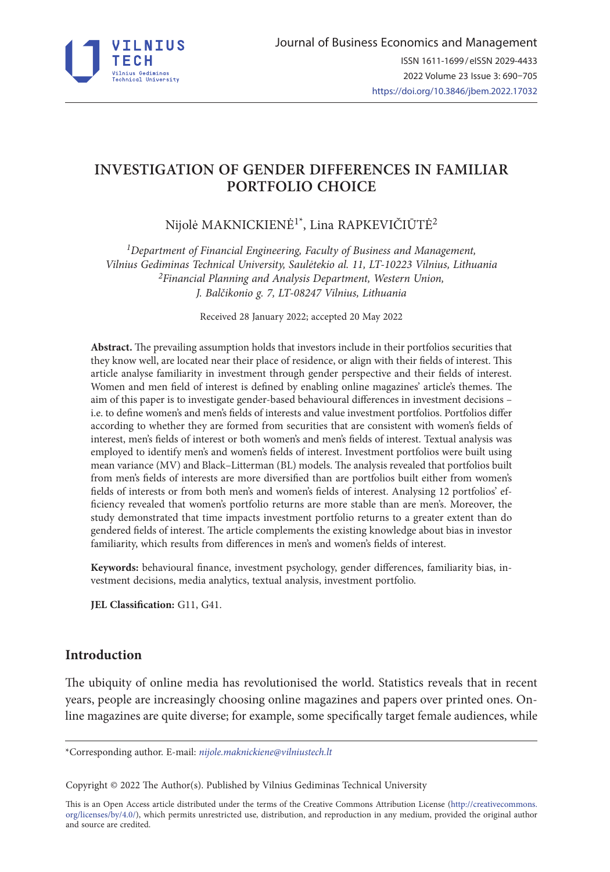

# **INVESTIGATION OF GENDER DIFFERENCES IN FAMILIAR PORTFOLIO CHOICE**

Nijolė MAKNICKIENĖ1\*, Lina RAPKEVIČIŪTĖ2

*1Department of Financial Engineering, Faculty of Business and Management, Vilnius Gediminas Technical University, Saulėtekio al. 11, LT-10223 Vilnius, Lithuania 2Financial Planning and Analysis Department, Western Union, J. Balčikonio g. 7, LT-08247 Vilnius, Lithuania*

Received 28 January 2022; accepted 20 May 2022

**Abstract.** The prevailing assumption holds that investors include in their portfolios securities that they know well, are located near their place of residence, or align with their fields of interest. This article analyse familiarity in investment through gender perspective and their fields of interest. Women and men field of interest is defined by enabling online magazines' article's themes. The aim of this paper is to investigate gender-based behavioural differences in investment decisions – i.e. to define women's and men's fields of interests and value investment portfolios. Portfolios differ according to whether they are formed from securities that are consistent with women's fields of interest, men's fields of interest or both women's and men's fields of interest. Textual analysis was employed to identify men's and women's fields of interest. Investment portfolios were built using mean variance (MV) and Black–Litterman (BL) models. The analysis revealed that portfolios built from men's fields of interests are more diversified than are portfolios built either from women's fields of interests or from both men's and women's fields of interest. Analysing 12 portfolios' efficiency revealed that women's portfolio returns are more stable than are men's. Moreover, the study demonstrated that time impacts investment portfolio returns to a greater extent than do gendered fields of interest. The article complements the existing knowledge about bias in investor familiarity, which results from differences in men's and women's fields of interest.

**Keywords:** behavioural finance, investment psychology, gender differences, familiarity bias, investment decisions, media analytics, textual analysis, investment portfolio.

**JEL Classification:** G11, G41.

# **Introduction**

The ubiquity of online media has revolutionised the world. Statistics reveals that in recent years, people are increasingly choosing online magazines and papers over printed ones. Online magazines are quite diverse; for example, some specifically target female audiences, while

\*Corresponding author. E-mail: *nijole.maknickiene@vilniustech.lt*

Copyright © 2022 The Author(s). Published by Vilnius Gediminas Technical University

This is an Open Access article distributed under the terms of the Creative Commons Attribution License ([http://creativecommons.](http://creativecommons.org/licenses/by/4.0/) [org/licenses/by/4.0/\)](http://creativecommons.org/licenses/by/4.0/), which permits unrestricted use, distribution, and reproduction in any medium, provided the original author and source are credited.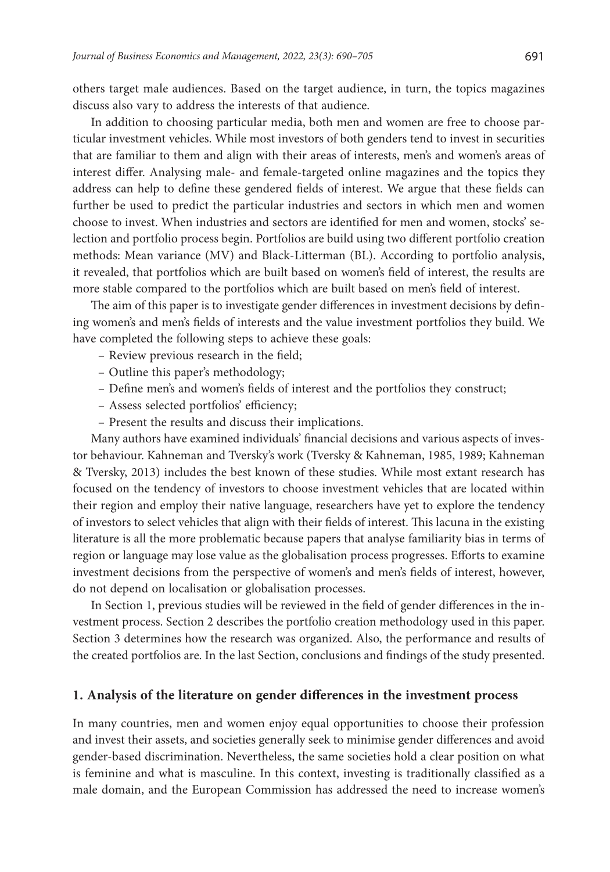others target male audiences. Based on the target audience, in turn, the topics magazines discuss also vary to address the interests of that audience.

In addition to choosing particular media, both men and women are free to choose particular investment vehicles. While most investors of both genders tend to invest in securities that are familiar to them and align with their areas of interests, men's and women's areas of interest differ. Analysing male- and female-targeted online magazines and the topics they address can help to define these gendered fields of interest. We argue that these fields can further be used to predict the particular industries and sectors in which men and women choose to invest. When industries and sectors are identified for men and women, stocks' selection and portfolio process begin. Portfolios are build using two different portfolio creation methods: Mean variance (MV) and Black-Litterman (BL). According to portfolio analysis, it revealed, that portfolios which are built based on women's field of interest, the results are more stable compared to the portfolios which are built based on men's field of interest.

The aim of this paper is to investigate gender differences in investment decisions by defining women's and men's fields of interests and the value investment portfolios they build. We have completed the following steps to achieve these goals:

- Review previous research in the field;
- Outline this paper's methodology;
- Define men's and women's fields of interest and the portfolios they construct;
- Assess selected portfolios' efficiency;
- Present the results and discuss their implications.

Many authors have examined individuals' financial decisions and various aspects of investor behaviour. Kahneman and Tversky's work (Tversky & Kahneman, 1985, 1989; Kahneman & Tversky, 2013) includes the best known of these studies. While most extant research has focused on the tendency of investors to choose investment vehicles that are located within their region and employ their native language, researchers have yet to explore the tendency of investors to select vehicles that align with their fields of interest. This lacuna in the existing literature is all the more problematic because papers that analyse familiarity bias in terms of region or language may lose value as the globalisation process progresses. Efforts to examine investment decisions from the perspective of women's and men's fields of interest, however, do not depend on localisation or globalisation processes.

In Section 1, previous studies will be reviewed in the field of gender differences in the investment process. Section 2 describes the portfolio creation methodology used in this paper. Section 3 determines how the research was organized. Also, the performance and results of the created portfolios are. In the last Section, conclusions and findings of the study presented.

## **1. Analysis of the literature on gender differences in the investment process**

In many countries, men and women enjoy equal opportunities to choose their profession and invest their assets, and societies generally seek to minimise gender differences and avoid gender-based discrimination. Nevertheless, the same societies hold a clear position on what is feminine and what is masculine. In this context, investing is traditionally classified as a male domain, and the European Commission has addressed the need to increase women's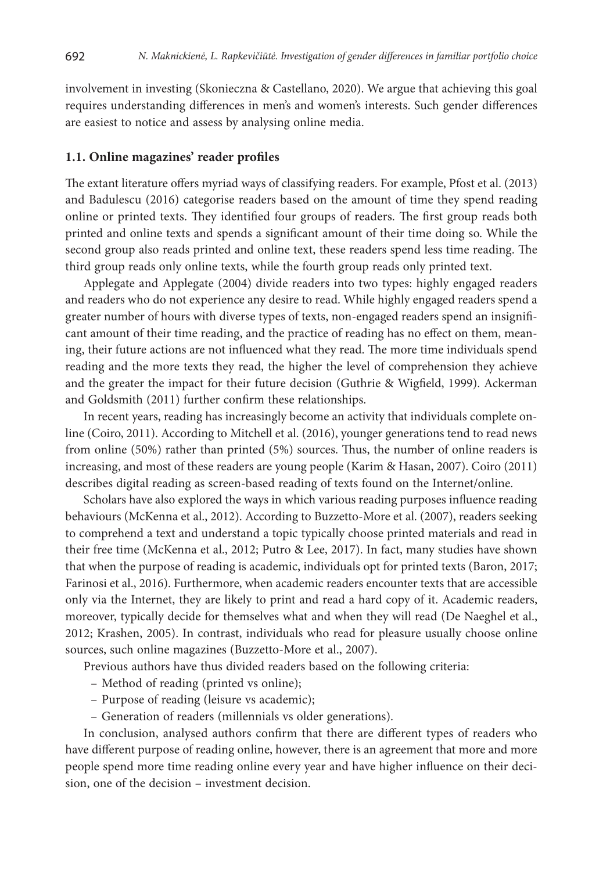involvement in investing (Skonieczna & Castellano, 2020). We argue that achieving this goal requires understanding differences in men's and women's interests. Such gender differences are easiest to notice and assess by analysing online media.

#### **1.1. Online magazines' reader profiles**

The extant literature offers myriad ways of classifying readers. For example, Pfost et al. (2013) and Badulescu (2016) categorise readers based on the amount of time they spend reading online or printed texts. They identified four groups of readers. The first group reads both printed and online texts and spends a significant amount of their time doing so. While the second group also reads printed and online text, these readers spend less time reading. The third group reads only online texts, while the fourth group reads only printed text.

Applegate and Applegate (2004) divide readers into two types: highly engaged readers and readers who do not experience any desire to read. While highly engaged readers spend a greater number of hours with diverse types of texts, non-engaged readers spend an insignificant amount of their time reading, and the practice of reading has no effect on them, meaning, their future actions are not influenced what they read. The more time individuals spend reading and the more texts they read, the higher the level of comprehension they achieve and the greater the impact for their future decision (Guthrie & Wigfield, 1999). Ackerman and Goldsmith (2011) further confirm these relationships.

In recent years, reading has increasingly become an activity that individuals complete online (Coiro, 2011). According to Mitchell et al. (2016), younger generations tend to read news from online (50%) rather than printed (5%) sources. Thus, the number of online readers is increasing, and most of these readers are young people (Karim & Hasan, 2007). Coiro (2011) describes digital reading as screen-based reading of texts found on the Internet/online.

Scholars have also explored the ways in which various reading purposes influence reading behaviours (McKenna et al., 2012). According to Buzzetto-More et al. (2007), readers seeking to comprehend a text and understand a topic typically choose printed materials and read in their free time (McKenna et al., 2012; Putro & Lee, 2017). In fact, many studies have shown that when the purpose of reading is academic, individuals opt for printed texts (Baron, 2017; Farinosi et al., 2016). Furthermore, when academic readers encounter texts that are accessible only via the Internet, they are likely to print and read a hard copy of it. Academic readers, moreover, typically decide for themselves what and when they will read (De Naeghel et al., 2012; Krashen, 2005). In contrast, individuals who read for pleasure usually choose online sources, such online magazines (Buzzetto-More et al., 2007).

Previous authors have thus divided readers based on the following criteria:

- Method of reading (printed vs online);
- Purpose of reading (leisure vs academic);
- Generation of readers (millennials vs older generations).

In conclusion, analysed authors confirm that there are different types of readers who have different purpose of reading online, however, there is an agreement that more and more people spend more time reading online every year and have higher influence on their decision, one of the decision – investment decision.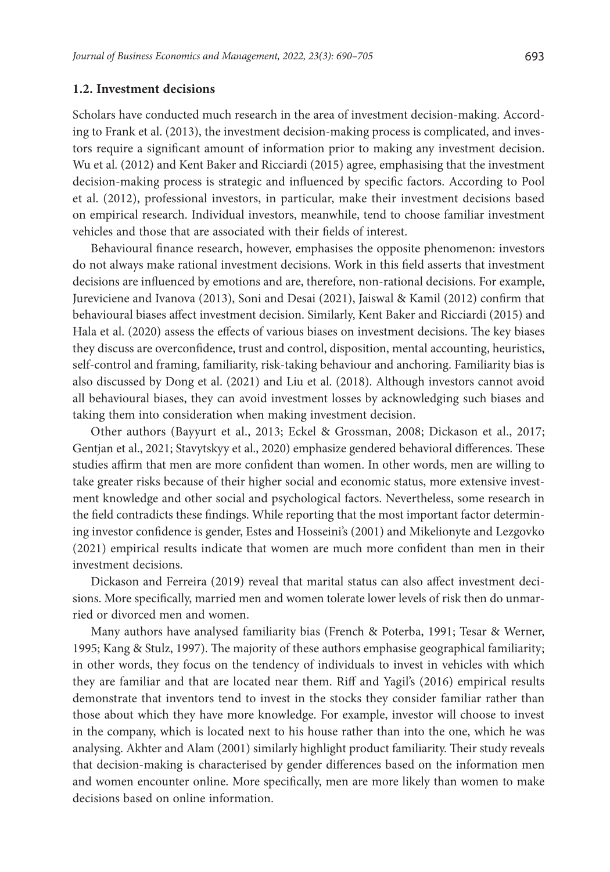#### **1.2. Investment decisions**

Scholars have conducted much research in the area of investment decision-making. According to Frank et al. (2013), the investment decision-making process is complicated, and investors require a significant amount of information prior to making any investment decision. Wu et al. (2012) and Kent Baker and Ricciardi (2015) agree, emphasising that the investment decision-making process is strategic and influenced by specific factors. According to Pool et al. (2012), professional investors, in particular, make their investment decisions based on empirical research. Individual investors, meanwhile, tend to choose familiar investment vehicles and those that are associated with their fields of interest.

Behavioural finance research, however, emphasises the opposite phenomenon: investors do not always make rational investment decisions. Work in this field asserts that investment decisions are influenced by emotions and are, therefore, non-rational decisions. For example, Jureviciene and Ivanova (2013), Soni and Desai (2021), Jaiswal & Kamil (2012) confirm that behavioural biases affect investment decision. Similarly, Kent Baker and Ricciardi (2015) and Hala et al. (2020) assess the effects of various biases on investment decisions. The key biases they discuss are overconfidence, trust and control, disposition, mental accounting, heuristics, self-control and framing, familiarity, risk-taking behaviour and anchoring. Familiarity bias is also discussed by Dong et al. (2021) and Liu et al. (2018). Although investors cannot avoid all behavioural biases, they can avoid investment losses by acknowledging such biases and taking them into consideration when making investment decision.

Other authors (Bayyurt et al., 2013; Eckel & Grossman, 2008; Dickason et al., 2017; Gentjan et al., 2021; Stavytskyy et al., 2020) emphasize gendered behavioral differences. These studies affirm that men are more confident than women. In other words, men are willing to take greater risks because of their higher social and economic status, more extensive investment knowledge and other social and psychological factors. Nevertheless, some research in the field contradicts these findings. While reporting that the most important factor determining investor confidence is gender, Estes and Hosseini's (2001) and Mikelionyte and Lezgovko (2021) empirical results indicate that women are much more confident than men in their investment decisions.

Dickason and Ferreira (2019) reveal that marital status can also affect investment decisions. More specifically, married men and women tolerate lower levels of risk then do unmarried or divorced men and women.

Many authors have analysed familiarity bias (French & Poterba, 1991; Tesar & Werner, 1995; Kang & Stulz, 1997). The majority of these authors emphasise geographical familiarity; in other words, they focus on the tendency of individuals to invest in vehicles with which they are familiar and that are located near them. Riff and Yagil's (2016) empirical results demonstrate that inventors tend to invest in the stocks they consider familiar rather than those about which they have more knowledge. For example, investor will choose to invest in the company, which is located next to his house rather than into the one, which he was analysing. Akhter and Alam (2001) similarly highlight product familiarity. Their study reveals that decision-making is characterised by gender differences based on the information men and women encounter online. More specifically, men are more likely than women to make decisions based on online information.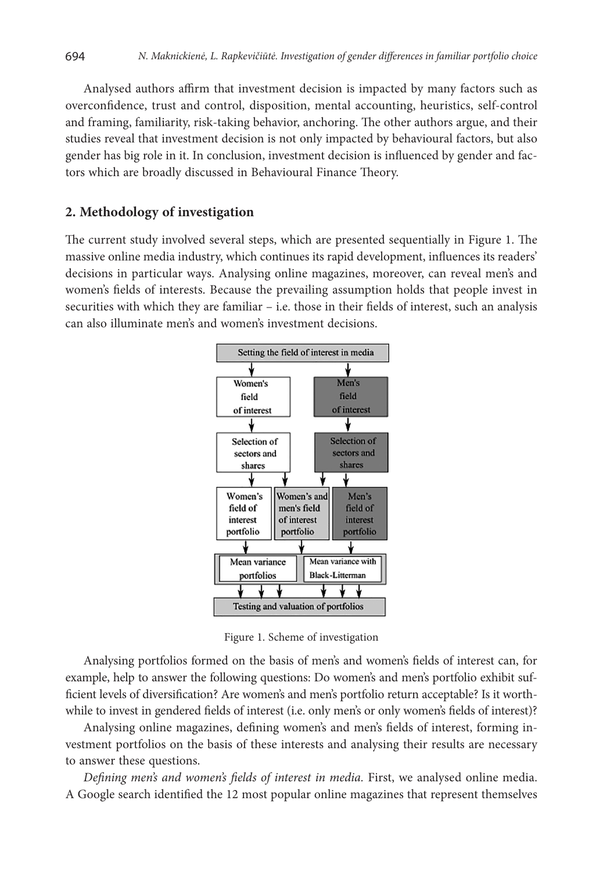Analysed authors affirm that investment decision is impacted by many factors such as overconfidence, trust and control, disposition, mental accounting, heuristics, self-control and framing, familiarity, risk-taking behavior, anchoring. The other authors argue, and their studies reveal that investment decision is not only impacted by behavioural factors, but also gender has big role in it. In conclusion, investment decision is influenced by gender and factors which are broadly discussed in Behavioural Finance Theory.

# **2. Methodology of investigation**

The current study involved several steps, which are presented sequentially in Figure 1. The massive online media industry, which continues its rapid development, influences its readers' decisions in particular ways. Analysing online magazines, moreover, can reveal men's and women's fields of interests. Because the prevailing assumption holds that people invest in securities with which they are familiar – i.e. those in their fields of interest, such an analysis can also illuminate men's and women's investment decisions.



Figure 1. Scheme of investigation

Analysing portfolios formed on the basis of men's and women's fields of interest can, for example, help to answer the following questions: Do women's and men's portfolio exhibit sufficient levels of diversification? Are women's and men's portfolio return acceptable? Is it worthwhile to invest in gendered fields of interest (i.e. only men's or only women's fields of interest)?

Analysing online magazines, defining women's and men's fields of interest, forming investment portfolios on the basis of these interests and analysing their results are necessary to answer these questions.

*Defining men's and women's fields of interest in media.* First, we analysed online media. A Google search identified the 12 most popular online magazines that represent themselves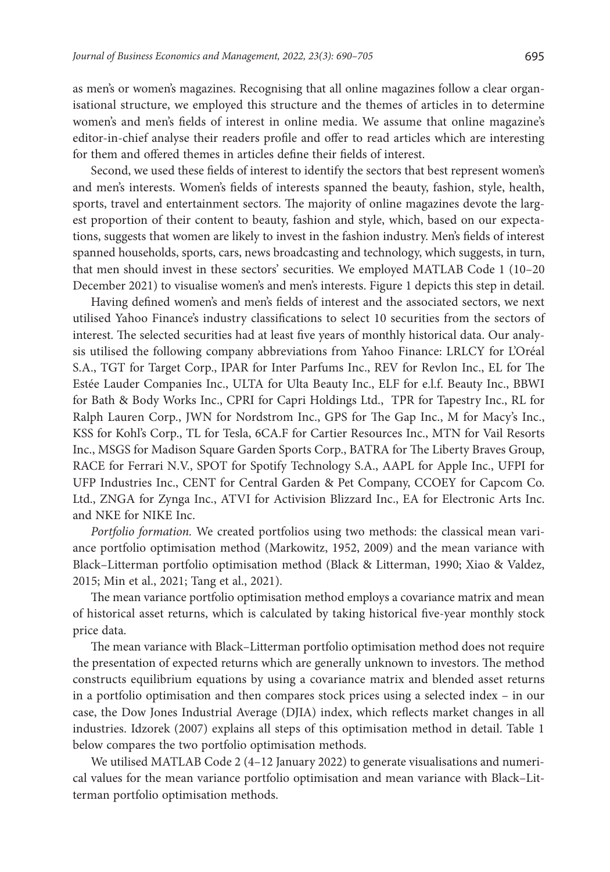as men's or women's magazines. Recognising that all online magazines follow a clear organisational structure, we employed this structure and the themes of articles in to determine women's and men's fields of interest in online media. We assume that online magazine's editor-in-chief analyse their readers profile and offer to read articles which are interesting for them and offered themes in articles define their fields of interest.

Second, we used these fields of interest to identify the sectors that best represent women's and men's interests. Women's fields of interests spanned the beauty, fashion, style, health, sports, travel and entertainment sectors. The majority of online magazines devote the largest proportion of their content to beauty, fashion and style, which, based on our expectations, suggests that women are likely to invest in the fashion industry. Men's fields of interest spanned households, sports, cars, news broadcasting and technology, which suggests, in turn, that men should invest in these sectors' securities. We employed MATLAB Code 1 (10–20 December 2021) to visualise women's and men's interests. Figure 1 depicts this step in detail.

Having defined women's and men's fields of interest and the associated sectors, we next utilised Yahoo Finance's industry classifications to select 10 securities from the sectors of interest. The selected securities had at least five years of monthly historical data. Our analysis utilised the following company abbreviations from Yahoo Finance: LRLCY for L'Oréal S.A., TGT for Target Corp., IPAR for Inter Parfums Inc., REV for Revlon Inc., EL for The Estée Lauder Companies Inc., ULTA for Ulta Beauty Inc., ELF for e.l.f. Beauty Inc., BBWI for Bath & Body Works Inc., CPRI for Capri Holdings Ltd., TPR for Tapestry Inc., RL for Ralph Lauren Corp., JWN for Nordstrom Inc., GPS for The Gap Inc., M for Macy's Inc., KSS for Kohl's Corp., TL for Tesla, 6CA.F for Cartier Resources Inc., MTN for Vail Resorts Inc., MSGS for Madison Square Garden Sports Corp., BATRA for The Liberty Braves Group, RACE for Ferrari N.V., SPOT for Spotify Technology S.A., AAPL for Apple Inc., UFPI for UFP Industries Inc., CENT for Central Garden & Pet Company, CCOEY for Capcom Co. Ltd., ZNGA for Zynga Inc., ATVI for Activision Blizzard Inc., EA for Electronic Arts Inc. and NKE for NIKE Inc.

*Portfolio formation.* We created portfolios using two methods: the classical mean variance portfolio optimisation method (Markowitz, 1952, 2009) and the mean variance with Black–Litterman portfolio optimisation method (Black & Litterman, 1990; Xiao & Valdez, 2015; Min et al., 2021; Tang et al., 2021).

The mean variance portfolio optimisation method employs a covariance matrix and mean of historical asset returns, which is calculated by taking historical five-year monthly stock price data.

The mean variance with Black–Litterman portfolio optimisation method does not require the presentation of expected returns which are generally unknown to investors. The method constructs equilibrium equations by using a covariance matrix and blended asset returns in a portfolio optimisation and then compares stock prices using a selected index – in our case, the Dow Jones Industrial Average (DJIA) index, which reflects market changes in all industries. Idzorek (2007) explains all steps of this optimisation method in detail. Table 1 below compares the two portfolio optimisation methods.

We utilised MATLAB Code 2 (4–12 January 2022) to generate visualisations and numerical values for the mean variance portfolio optimisation and mean variance with Black–Litterman portfolio optimisation methods.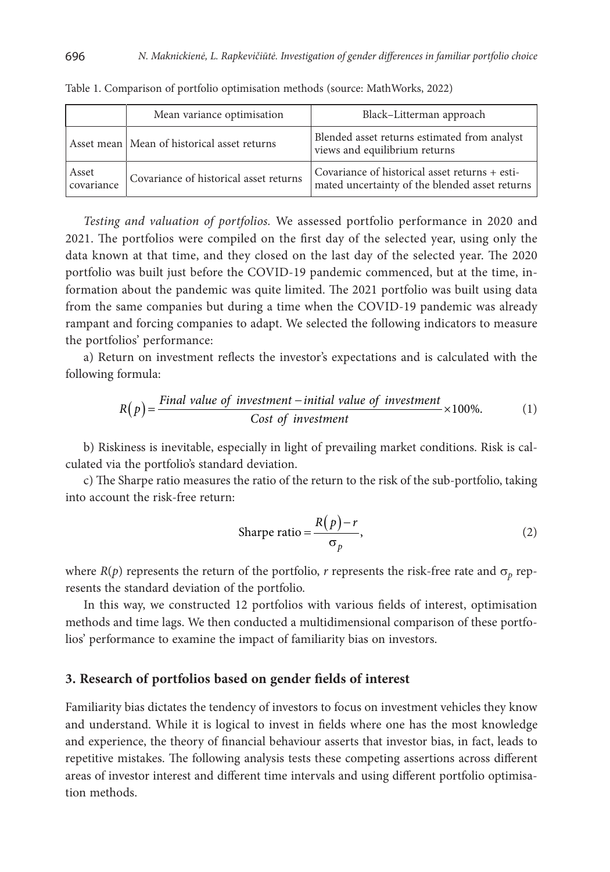|                     | Mean variance optimisation                    | Black-Litterman approach                                                                         |
|---------------------|-----------------------------------------------|--------------------------------------------------------------------------------------------------|
|                     | Asset mean   Mean of historical asset returns | Blended asset returns estimated from analyst<br>views and equilibrium returns                    |
| Asset<br>covariance | Covariance of historical asset returns        | Covariance of historical asset returns + esti-<br>mated uncertainty of the blended asset returns |

Table 1. Comparison of portfolio optimisation methods (source: MathWorks, 2022)

*Testing and valuation of portfolios.* We assessed portfolio performance in 2020 and 2021. The portfolios were compiled on the first day of the selected year, using only the data known at that time, and they closed on the last day of the selected year. The 2020 portfolio was built just before the COVID-19 pandemic commenced, but at the time, information about the pandemic was quite limited. The 2021 portfolio was built using data from the same companies but during a time when the COVID-19 pandemic was already rampant and forcing companies to adapt. We selected the following indicators to measure the portfolios' performance:

a) Return on investment reflects the investor's expectations and is calculated with the following formula:

$$
R(p) = \frac{Final value of investment - initial value of investment}{Cost of investment} \times 100\%.
$$
 (1)

b) Riskiness is inevitable, especially in light of prevailing market conditions. Risk is calculated via the portfolio's standard deviation.

c) The Sharpe ratio measures the ratio of the return to the risk of the sub-portfolio, taking into account the risk-free return:

$$
Sharpe ratio = \frac{R(p) - r}{\sigma_p},
$$
\n(2)

where  $R(p)$  represents the return of the portfolio, *r* represents the risk-free rate and  $\sigma_p$  represents the standard deviation of the portfolio.

In this way, we constructed 12 portfolios with various fields of interest, optimisation methods and time lags. We then conducted a multidimensional comparison of these portfolios' performance to examine the impact of familiarity bias on investors.

### **3. Research of portfolios based on gender fields of interest**

Familiarity bias dictates the tendency of investors to focus on investment vehicles they know and understand. While it is logical to invest in fields where one has the most knowledge and experience, the theory of financial behaviour asserts that investor bias, in fact, leads to repetitive mistakes. The following analysis tests these competing assertions across different areas of investor interest and different time intervals and using different portfolio optimisation methods.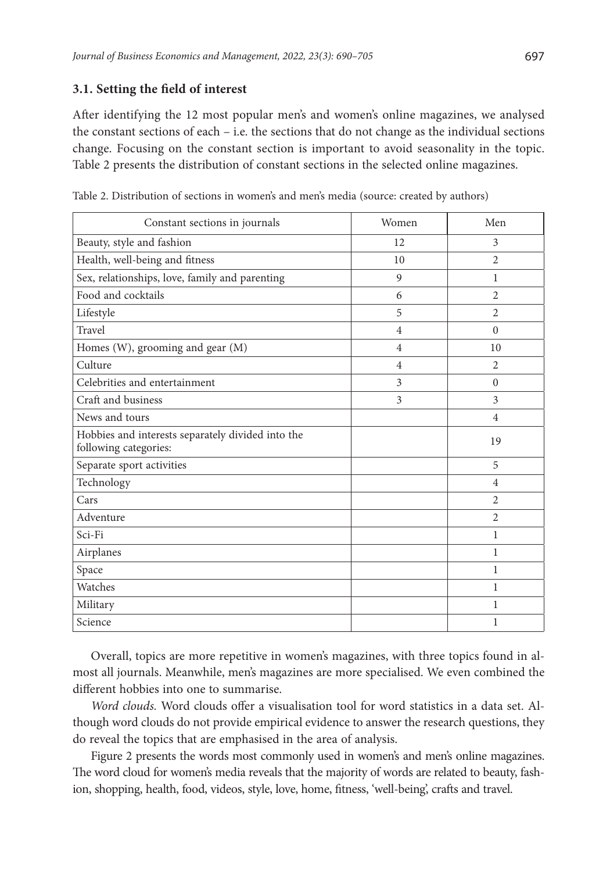#### **3.1. Setting the field of interest**

After identifying the 12 most popular men's and women's online magazines, we analysed the constant sections of each  $-$  i.e. the sections that do not change as the individual sections change. Focusing on the constant section is important to avoid seasonality in the topic. Table 2 presents the distribution of constant sections in the selected online magazines.

| Constant sections in journals                                              | Women          | Men                      |
|----------------------------------------------------------------------------|----------------|--------------------------|
| Beauty, style and fashion                                                  | 12             | 3                        |
| Health, well-being and fitness                                             | 10             | $\overline{\mathcal{L}}$ |
| Sex, relationships, love, family and parenting                             | 9              | 1                        |
| Food and cocktails                                                         | 6              | $\overline{2}$           |
| Lifestyle                                                                  | 5              | $\overline{\mathcal{L}}$ |
| Travel                                                                     | $\overline{4}$ | $\Omega$                 |
| Homes (W), grooming and gear (M)                                           | $\overline{4}$ | 10                       |
| Culture                                                                    | $\overline{4}$ | $\overline{2}$           |
| Celebrities and entertainment                                              | 3              | $\Omega$                 |
| Craft and business                                                         | 3              | 3                        |
| News and tours                                                             |                | $\overline{4}$           |
| Hobbies and interests separately divided into the<br>following categories: |                | 19                       |
| Separate sport activities                                                  |                | 5                        |
| Technology                                                                 |                | $\overline{4}$           |
| Cars                                                                       |                | 2                        |
| Adventure                                                                  |                | $\mathfrak{D}$           |
| Sci-Fi                                                                     |                | 1                        |
| Airplanes                                                                  |                | 1                        |
| Space                                                                      |                | 1                        |
| Watches                                                                    |                | 1                        |
| Military                                                                   |                | 1                        |
| Science                                                                    |                | 1                        |

Table 2. Distribution of sections in women's and men's media (source: created by authors)

Overall, topics are more repetitive in women's magazines, with three topics found in almost all journals. Meanwhile, men's magazines are more specialised. We even combined the different hobbies into one to summarise.

*Word clouds.* Word clouds offer a visualisation tool for word statistics in a data set. Although word clouds do not provide empirical evidence to answer the research questions, they do reveal the topics that are emphasised in the area of analysis.

Figure 2 presents the words most commonly used in women's and men's online magazines. The word cloud for women's media reveals that the majority of words are related to beauty, fashion, shopping, health, food, videos, style, love, home, fitness, 'well-being', crafts and travel.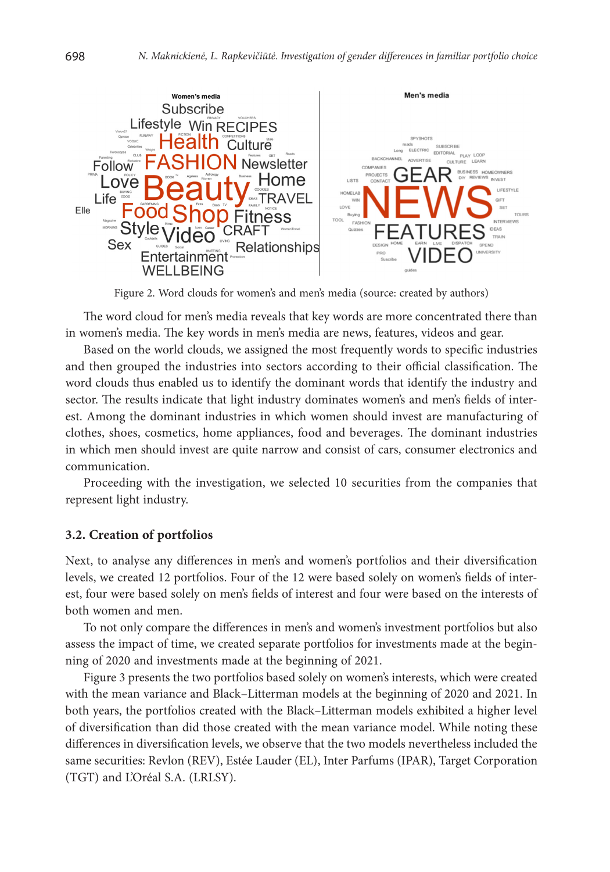

Figure 2. Word clouds for women's and men's media (source: created by authors)

The word cloud for men's media reveals that key words are more concentrated there than in women's media. The key words in men's media are news, features, videos and gear.

Based on the world clouds, we assigned the most frequently words to specific industries and then grouped the industries into sectors according to their official classification. The word clouds thus enabled us to identify the dominant words that identify the industry and sector. The results indicate that light industry dominates women's and men's fields of interest. Among the dominant industries in which women should invest are manufacturing of clothes, shoes, cosmetics, home appliances, food and beverages. The dominant industries in which men should invest are quite narrow and consist of cars, consumer electronics and communication.

Proceeding with the investigation, we selected 10 securities from the companies that represent light industry.

## **3.2. Creation of portfolios**

Next, to analyse any differences in men's and women's portfolios and their diversification levels, we created 12 portfolios. Four of the 12 were based solely on women's fields of interest, four were based solely on men's fields of interest and four were based on the interests of both women and men.

To not only compare the differences in men's and women's investment portfolios but also assess the impact of time, we created separate portfolios for investments made at the beginning of 2020 and investments made at the beginning of 2021.

Figure 3 presents the two portfolios based solely on women's interests, which were created with the mean variance and Black–Litterman models at the beginning of 2020 and 2021. In both years, the portfolios created with the Black–Litterman models exhibited a higher level of diversification than did those created with the mean variance model. While noting these differences in diversification levels, we observe that the two models nevertheless included the same securities: Revlon (REV), Estée Lauder (EL), Inter Parfums (IPAR), Target Corporation (TGT) and L'Oréal S.A. (LRLSY).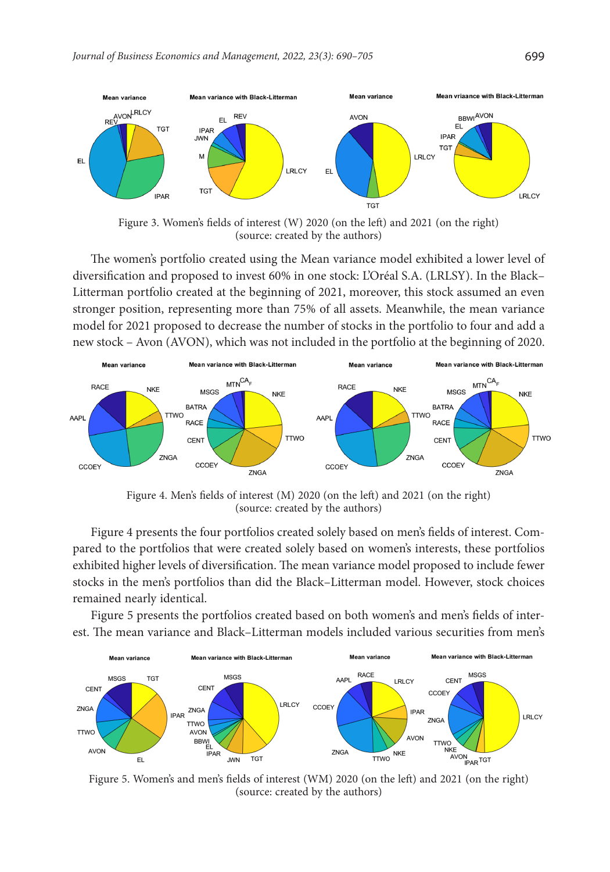

Figure 3. Women's fields of interest (W) 2020 (on the left) and 2021 (on the right) (source: created by the authors)

The women's portfolio created using the Mean variance model exhibited a lower level of diversification and proposed to invest 60% in one stock: L'Oréal S.A. (LRLSY). In the Black– Litterman portfolio created at the beginning of 2021, moreover, this stock assumed an even stronger position, representing more than 75% of all assets. Meanwhile, the mean variance model for 2021 proposed to decrease the number of stocks in the portfolio to four and add a new stock – Avon (AVON), which was not included in the portfolio at the beginning of 2020.



Figure 4. Men's fields of interest (M) 2020 (on the left) and 2021 (on the right) (source: created by the authors)

Figure 4 presents the four portfolios created solely based on men's fields of interest. Compared to the portfolios that were created solely based on women's interests, these portfolios exhibited higher levels of diversification. The mean variance model proposed to include fewer stocks in the men's portfolios than did the Black–Litterman model. However, stock choices remained nearly identical.

Figure 5 presents the portfolios created based on both women's and men's fields of interest. The mean variance and Black–Litterman models included various securities from men's



(source: created by the authors)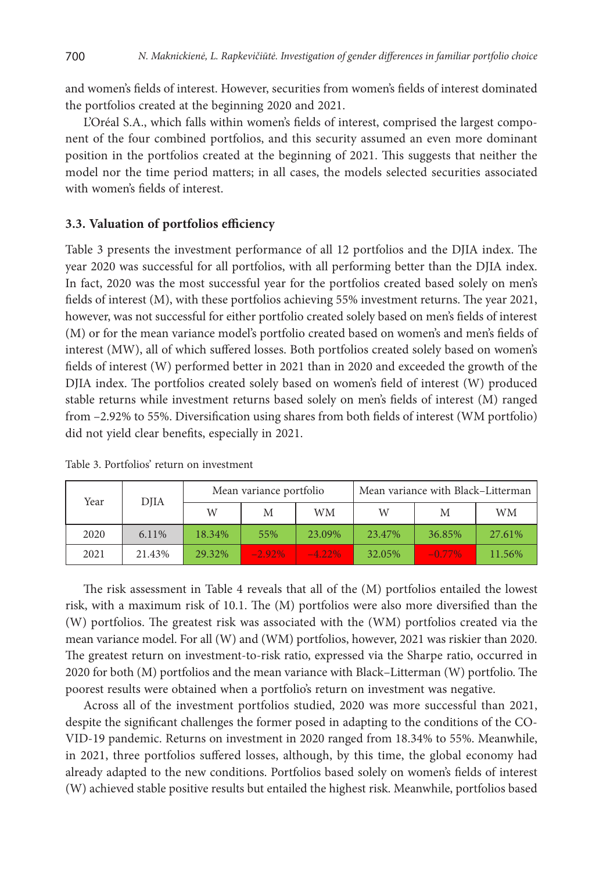and women's fields of interest. However, securities from women's fields of interest dominated the portfolios created at the beginning 2020 and 2021.

L'Oréal S.A., which falls within women's fields of interest, comprised the largest component of the four combined portfolios, and this security assumed an even more dominant position in the portfolios created at the beginning of 2021. This suggests that neither the model nor the time period matters; in all cases, the models selected securities associated with women's fields of interest.

# **3.3. Valuation of portfolios efficiency**

Table 3 presents the investment performance of all 12 portfolios and the DJIA index. The year 2020 was successful for all portfolios, with all performing better than the DJIA index. In fact, 2020 was the most successful year for the portfolios created based solely on men's fields of interest (M), with these portfolios achieving 55% investment returns. The year 2021, however, was not successful for either portfolio created solely based on men's fields of interest (M) or for the mean variance model's portfolio created based on women's and men's fields of interest (MW), all of which suffered losses. Both portfolios created solely based on women's fields of interest (W) performed better in 2021 than in 2020 and exceeded the growth of the DJIA index. The portfolios created solely based on women's field of interest (W) produced stable returns while investment returns based solely on men's fields of interest (M) ranged from –2.92% to 55%. Diversification using shares from both fields of interest (WM portfolio) did not yield clear benefits, especially in 2021.

| Year | DJIA   | Mean variance portfolio |           | Mean variance with Black-Litterman |        |          |        |
|------|--------|-------------------------|-----------|------------------------------------|--------|----------|--------|
|      |        | W                       | M         | WМ                                 | W      | M        | WМ     |
| 2020 | 6.11%  | 18.34%                  | 55%       | 23.09%                             | 23.47% | 36.85%   | 27.61% |
| 2021 | 21.43% | 29.32%                  | $-2.92\%$ | $-4.22\%$                          | 32.05% | $-0.77%$ | 11.56% |

Table 3. Portfolios' return on investment

The risk assessment in Table 4 reveals that all of the (M) portfolios entailed the lowest risk, with a maximum risk of 10.1. The (M) portfolios were also more diversified than the (W) portfolios. The greatest risk was associated with the (WM) portfolios created via the mean variance model. For all (W) and (WM) portfolios, however, 2021 was riskier than 2020. The greatest return on investment-to-risk ratio, expressed via the Sharpe ratio, occurred in 2020 for both (M) portfolios and the mean variance with Black–Litterman (W) portfolio. The poorest results were obtained when a portfolio's return on investment was negative.

Across all of the investment portfolios studied, 2020 was more successful than 2021, despite the significant challenges the former posed in adapting to the conditions of the CO-VID-19 pandemic. Returns on investment in 2020 ranged from 18.34% to 55%. Meanwhile, in 2021, three portfolios suffered losses, although, by this time, the global economy had already adapted to the new conditions. Portfolios based solely on women's fields of interest (W) achieved stable positive results but entailed the highest risk. Meanwhile, portfolios based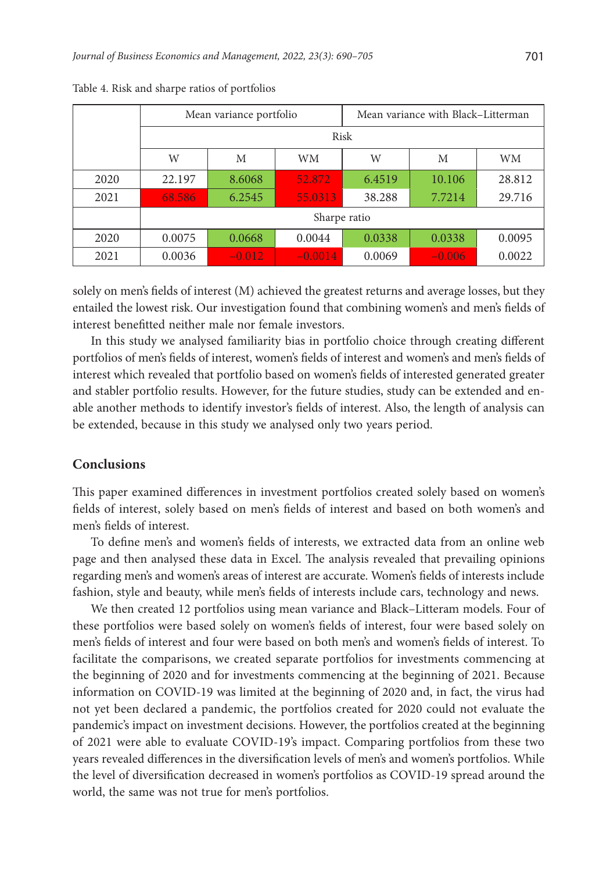|      | Mean variance portfolio |          |           | Mean variance with Black-Litterman |          |        |
|------|-------------------------|----------|-----------|------------------------------------|----------|--------|
|      | Risk                    |          |           |                                    |          |        |
|      | W                       | M        | WМ        | W                                  | M        | WM     |
| 2020 | 22.197                  | 8.6068   | 52.872    | 6.4519                             | 10.106   | 28.812 |
| 2021 | 68.586                  | 6.2545   | 55.0313   | 38.288                             | 7.7214   | 29.716 |
|      | Sharpe ratio            |          |           |                                    |          |        |
| 2020 | 0.0075                  | 0.0668   | 0.0044    | 0.0338                             | 0.0338   | 0.0095 |
| 2021 | 0.0036                  | $-0.012$ | $-0.0014$ | 0.0069                             | $-0.006$ | 0.0022 |

Table 4. Risk and sharpe ratios of portfolios

solely on men's fields of interest (M) achieved the greatest returns and average losses, but they entailed the lowest risk. Our investigation found that combining women's and men's fields of interest benefitted neither male nor female investors.

In this study we analysed familiarity bias in portfolio choice through creating different portfolios of men's fields of interest, women's fields of interest and women's and men's fields of interest which revealed that portfolio based on women's fields of interested generated greater and stabler portfolio results. However, for the future studies, study can be extended and enable another methods to identify investor's fields of interest. Also, the length of analysis can be extended, because in this study we analysed only two years period.

#### **Conclusions**

This paper examined differences in investment portfolios created solely based on women's fields of interest, solely based on men's fields of interest and based on both women's and men's fields of interest.

To define men's and women's fields of interests, we extracted data from an online web page and then analysed these data in Excel. The analysis revealed that prevailing opinions regarding men's and women's areas of interest are accurate. Women's fields of interests include fashion, style and beauty, while men's fields of interests include cars, technology and news.

We then created 12 portfolios using mean variance and Black–Litteram models. Four of these portfolios were based solely on women's fields of interest, four were based solely on men's fields of interest and four were based on both men's and women's fields of interest. To facilitate the comparisons, we created separate portfolios for investments commencing at the beginning of 2020 and for investments commencing at the beginning of 2021. Because information on COVID-19 was limited at the beginning of 2020 and, in fact, the virus had not yet been declared a pandemic, the portfolios created for 2020 could not evaluate the pandemic's impact on investment decisions. However, the portfolios created at the beginning of 2021 were able to evaluate COVID-19's impact. Comparing portfolios from these two years revealed differences in the diversification levels of men's and women's portfolios. While the level of diversification decreased in women's portfolios as COVID-19 spread around the world, the same was not true for men's portfolios.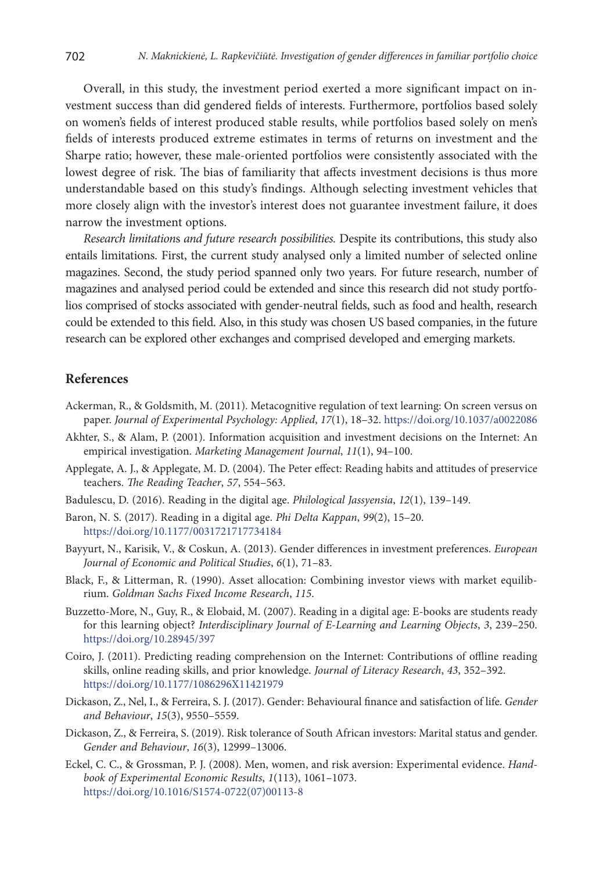Overall, in this study, the investment period exerted a more significant impact on investment success than did gendered fields of interests. Furthermore, portfolios based solely on women's fields of interest produced stable results, while portfolios based solely on men's fields of interests produced extreme estimates in terms of returns on investment and the Sharpe ratio; however, these male-oriented portfolios were consistently associated with the lowest degree of risk. The bias of familiarity that affects investment decisions is thus more understandable based on this study's findings. Although selecting investment vehicles that more closely align with the investor's interest does not guarantee investment failure, it does narrow the investment options.

*Research limitation*s *and future research possibilities.* Despite its contributions, this study also entails limitations. First, the current study analysed only a limited number of selected online magazines. Second, the study period spanned only two years. For future research, number of magazines and analysed period could be extended and since this research did not study portfolios comprised of stocks associated with gender-neutral fields, such as food and health, research could be extended to this field. Also, in this study was chosen US based companies, in the future research can be explored other exchanges and comprised developed and emerging markets.

# **References**

- Ackerman, R., & Goldsmith, M. (2011). Metacognitive regulation of text learning: On screen versus on paper. *Journal of Experimental Psychology: Applied*, *17*(1), 18–32. <https://doi.org/10.1037/a0022086>
- Akhter, S., & Alam, P. (2001). Information acquisition and investment decisions on the Internet: An empirical investigation. *[Marketing Management Journal](file:///D:/Audrone_Gurkliene/_Audrone/Zurnalai/JBEM/_2022/17032/javascript:__doLinkPostBack()*, *11*(1), 94–100.
- Applegate, A. J., & Applegate, M. D. (2004). The Peter effect: Reading habits and attitudes of preservice teachers. *The Reading Teacher*, *57*, 554–563.
- Badulescu, D. (2016). Reading in the digital age. *Philological Jassyensia*, *12*(1), 139–149.
- Baron, N. S. (2017). Reading in a digital age. *Phi Delta Kappan*, *99*(2), 15–20. <https://doi.org/10.1177/0031721717734184>
- Bayyurt, N., Karisik, V., & Coskun, A. (2013). Gender differences in investment preferences. *European Journal of Economic and Political Studies*, *6*(1), 71–83.
- Black, F., & Litterman, R. (1990). Asset allocation: Combining investor views with market equilibrium. *Goldman Sachs Fixed Income Research*, *115*.
- Buzzetto-More, N., Guy, R., & Elobaid, M. (2007). Reading in a digital age: E-books are students ready for this learning object? *Interdisciplinary Journal of E-Learning and Learning Objects*, *3*, 239–250. <https://doi.org/10.28945/397>
- Coiro, J. (2011). Predicting reading comprehension on the Internet: Contributions of offline reading skills, online reading skills, and prior knowledge. *Journal of Literacy Research*, *43*, 352–392. <https://doi.org/10.1177/1086296X11421979>
- Dickason, Z., Nel, I., & Ferreira, S. J. (2017). Gender: Behavioural finance and satisfaction of life. *Gender and Behaviour*, *15*(3), 9550–5559.
- Dickason, Z., & Ferreira, S. (2019). Risk tolerance of South African investors: Marital status and gender. *Gender and Behaviour*, *16*(3), 12999–13006.
- Eckel, C. C., & Grossman, P. J. (2008). Men, women, and risk aversion: Experimental evidence. *Handbook of Experimental Economic Results*, *1*(113), 1061–1073. [https://doi.org/10.1016/S1574-0722\(07\)00113-8](https://doi.org/10.1016/S1574-0722(07)00113-8)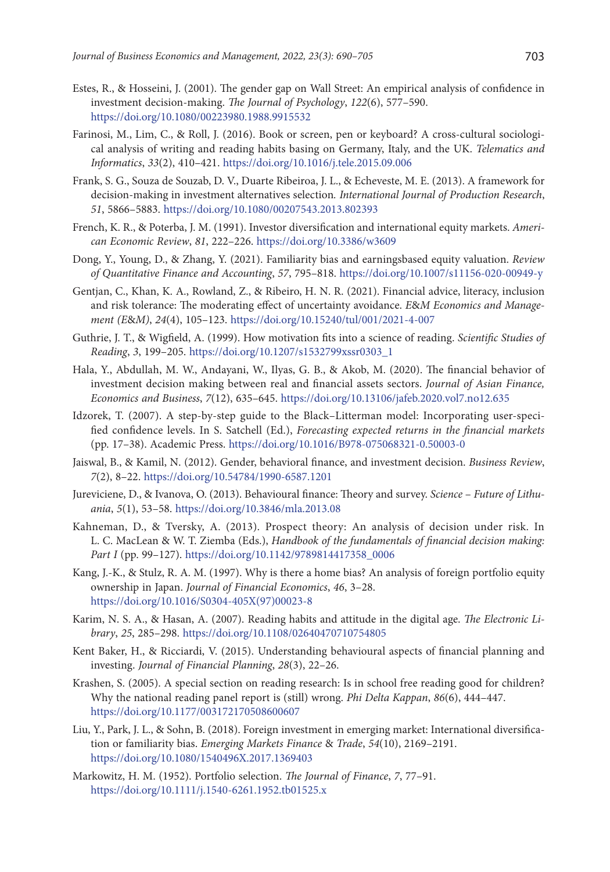- Estes, R., & Hosseini, J. (2001). The gender gap on Wall Street: An empirical analysis of confidence in investment decision-making. *The Journal of Psychology*, *122*(6), 577–590. <https://doi.org/10.1080/00223980.1988.9915532>
- Farinosi, M., Lim, C., & Roll, J. (2016). Book or screen, pen or keyboard? A cross-cultural sociological analysis of writing and reading habits basing on Germany, Italy, and the UK. *Telematics and Informatics*, *33*(2), 410–421. <https://doi.org/10.1016/j.tele.2015.09.006>
- Frank, S. G., Souza de Souzab, D. V., Duarte Ribeiroa, J. L., & Echeveste, M. E. (2013). A framework for decision-making in investment alternatives selection*. International Journal of Production Research*, *51*, 5866–5883. <https://doi.org/10.1080/00207543.2013.802393>
- French, K. R., & Poterba, J. M. (1991). Investor diversification and international equity markets. *American Economic Review*, *81*, 222–226. <https://doi.org/10.3386/w3609>
- Dong, Y., Young, D., & Zhang, Y. (2021). Familiarity bias and earningsbased equity valuation. *Review of Quantitative Finance and Accounting*, *57*, 795–818. <https://doi.org/10.1007/s11156-020-00949-y>
- Gentjan, C., Khan, K. A., Rowland, Z., & Ribeiro, H. N. R. (2021). Financial advice, literacy, inclusion and risk tolerance: The moderating effect of uncertainty avoidance. *E*&*M Economics and Management (E*&*M)*, *24*(4), 105–123. <https://doi.org/10.15240/tul/001/2021-4-007>
- Guthrie, J. T., & Wigfield, A. (1999). How motivation fits into a science of reading. *Scientific Studies of Reading*, *3*, 199–205. [https://doi.org/10.1207/s1532799xssr0303\\_1](https://doi.org/10.1207/s1532799xssr0303_1)
- Hala, Y., Abdullah, M. W., Andayani, W., Ilyas, G. B., & Akob, M. (2020). The financial behavior of investment decision making between real and financial assets sectors. *Journal of Asian Finance, Economics and Business*, *7*(12), 635–645. <https://doi.org/10.13106/jafeb.2020.vol7.no12.635>
- Idzorek, T. (2007). A step-by-step guide to the Black–Litterman model: Incorporating user-specified confidence levels. In S. Satchell (Ed.), *Forecasting expected returns in the financial markets* (pp. 17–38). Academic Press. <https://doi.org/10.1016/B978-075068321-0.50003-0>
- Jaiswal, B., & Kamil, N. (2012). Gender, behavioral finance, and investment decision. *Business Review*, *7*(2), 8–22. <https://doi.org/10.54784/1990-6587.1201>
- Jureviciene, D., & Ivanova, O. (2013). Behavioural finance: Theory and survey. *Science Future of Lithuania*, *5*(1), 53–58. <https://doi.org/10.3846/mla.2013.08>
- Kahneman, D., & Tversky, A. (2013). Prospect theory: An analysis of decision under risk. In L. C. MacLean & W. T. Ziemba (Eds.), *Handbook of the fundamentals of financial decision making: Part I* (pp. 99–127). [https://doi.org/10.1142/9789814417358\\_0006](https://doi.org/10.1142/9789814417358_0006)
- Kang, J.-K., & Stulz, R. A. M. (1997). Why is there a home bias? An analysis of foreign portfolio equity ownership in Japan. *Journal of Financial Economics*, *46*, 3–28. [https://doi.org/10.1016/S0304-405X\(97\)00023-8](https://doi.org/10.1016/S0304-405X(97)00023-8)
- Karim, N. S. A., & Hasan, A. (2007). Reading habits and attitude in the digital age. *The Electronic Library*, *25*, 285–298. <https://doi.org/10.1108/02640470710754805>
- Kent Baker, H., & Ricciardi, V. (2015). Understanding behavioural aspects of financial planning and investing. *[Journal of Financial Planning](file:///D:/Audrone_Gurkliene/_Audrone/Zurnalai/JBEM/_2022/17032/javascript:__doLinkPostBack()*, *28*(3), 22–26.
- Krashen, S. (2005). A special section on reading research: Is in school free reading good for children? Why the national reading panel report is (still) wrong. *Phi Delta Kappan*, *86*(6), 444–447. <https://doi.org/10.1177/003172170508600607>
- Liu, Y., Park, J. L., & Sohn, B. (2018). Foreign investment in emerging market: International diversification or familiarity bias. *[Emerging Markets Finance](file:///D:/Audrone_Gurkliene/_Audrone/Zurnalai/JBEM/_2022/17032/javascript:__doLinkPostBack()* & *Trade*, *54*(10), 2169–2191. <https://doi.org/10.1080/1540496X.2017.1369403>
- Markowitz, H. M. (1952). Portfolio selection. *The Journal of Finance*, *7*, 77–91. <https://doi.org/10.1111/j.1540-6261.1952.tb01525.x>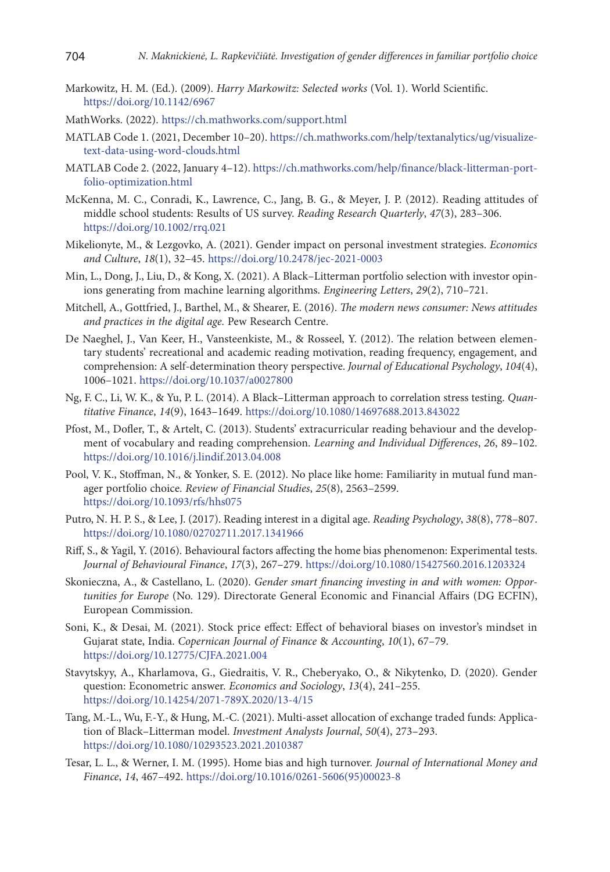- Markowitz, H. M. (Ed.). (2009). *Harry Markowitz: Selected works* (Vol. 1). World Scientific. <https://doi.org/10.1142/6967>
- MathWorks. (2022). <https://ch.mathworks.com/support.html>
- MATLAB Code 1. (2021, December 10–20). [https://ch.mathworks.com/help/textanalytics/ug/visualize](https://ch.mathworks.com/help/textanalytics/ug/visualize-text-data-using-word-clouds.html)[text-data-using-word-clouds.html](https://ch.mathworks.com/help/textanalytics/ug/visualize-text-data-using-word-clouds.html)
- MATLAB Code 2. (2022, January 4–12). [https://ch.mathworks.com/help/finance/black-litterman-port](https://ch.mathworks.com/help/finance/black-litterman-portfolio-optimization.html)[folio-optimization.html](https://ch.mathworks.com/help/finance/black-litterman-portfolio-optimization.html)
- McKenna, M. C., Conradi, K., Lawrence, C., Jang, B. G., & Meyer, J. P. (2012). Reading attitudes of middle school students: Results of US survey. *Reading Research Quarterly*, *47*(3), 283–306. <https://doi.org/10.1002/rrq.021>
- Mikelionyte, M., & Lezgovko, A. (2021). Gender impact on personal investment strategies. *Economics and Culture*, *18*(1), 32–45. <https://doi.org/10.2478/jec-2021-0003>
- Min, L., Dong, J., Liu, D., & Kong, X. (2021). A Black–Litterman portfolio selection with investor opinions generating from machine learning algorithms. *Engineering Letters*, *29*(2), 710–721.
- Mitchell, A., Gottfried, J., Barthel, M., & Shearer, E. (2016). *The modern news consumer: News attitudes and practices in the digital age.* Pew Research Centre.
- De Naeghel, J., Van Keer, H., Vansteenkiste, M., & Rosseel, Y. (2012). The relation between elementary students' recreational and academic reading motivation, reading frequency, engagement, and comprehension: A self-determination theory perspective. *Journal of Educational Psychology*, *104*(4), 1006–1021. <https://doi.org/10.1037/a0027800>
- Ng, F. C., Li, W. K., & Yu, P. L. (2014). A Black–Litterman approach to correlation stress testing. *Quantitative Finance*, *14*(9), 1643–1649. <https://doi.org/10.1080/14697688.2013.843022>
- Pfost, M., Dofler, T., & Artelt, C. (2013). Students' extracurricular reading behaviour and the development of vocabulary and reading comprehension. *Learning and Individual Differences*, *26*, 89–102. <https://doi.org/10.1016/j.lindif.2013.04.008>
- Pool, V. K., Stoffman, N., & Yonker, S. E. (2012). No place like home: Familiarity in mutual fund manager portfolio choice. *[Review of Financial Studies](file:///D:/Audrone_Gurkliene/_Audrone/Zurnalai/JBEM/_2022/17032/javascript:__doLinkPostBack()*, *25*(8), 2563–2599. <https://doi.org/10.1093/rfs/hhs075>
- Putro, N. H. P. S., & Lee, J. (2017). Reading interest in a digital age. *Reading Psychology*, *38*(8), 778–807. <https://doi.org/10.1080/02702711.2017.1341966>
- Riff, S., & Yagil, Y. (2016). Behavioural factors affecting the home bias phenomenon: Experimental tests. *Journal of Behavioural Finance*, *17*(3), 267–279. <https://doi.org/10.1080/15427560.2016.1203324>
- Skonieczna, A., & Castellano, L. (2020). *Gender smart financing investing in and with women: Opportunities for Europe* (No. 129). Directorate General Economic and Financial Affairs (DG ECFIN), European Commission.
- Soni, K., & Desai, M. (2021). Stock price effect: Effect of behavioral biases on investor's mindset in Gujarat state, India. *Copernican Journal of Finance* & *Accounting*, *10*(1), 67–79. <https://doi.org/10.12775/CJFA.2021.004>
- Stavytskyy, A., Kharlamova, G., Giedraitis, V. R., Cheberyako, O., & Nikytenko, D. (2020). Gender question: Econometric answer. *Economics and Sociology*, *13*(4), 241–255. <https://doi.org/10.14254/2071-789X.2020/13-4/15>
- Tang, M.-L., Wu, F.-Y., & Hung, M.-C. (2021). Multi-asset allocation of exchange traded funds: Application of Black–Litterman model. *Investment Analysts Journal*, *50*(4), 273–293. <https://doi.org/10.1080/10293523.2021.2010387>
- Tesar, L. L., & Werner, I. M. (1995). Home bias and high turnover. *Journal of International Money and Finance*, *14*, 467–492. [https://doi.org/10.1016/0261-5606\(95\)00023-8](https://doi.org/10.1016/0261-5606(95)00023-8)